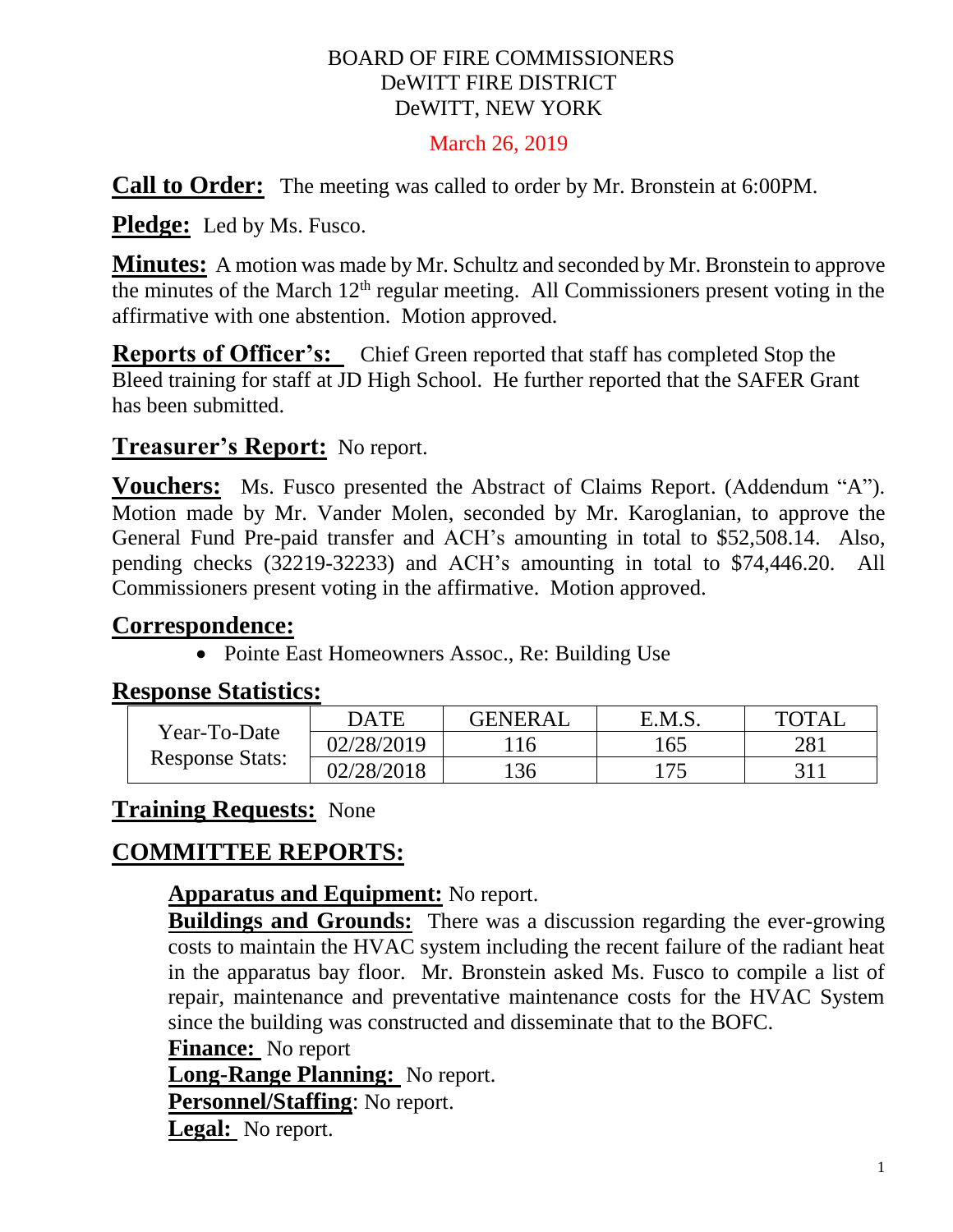#### BOARD OF FIRE COMMISSIONERS DeWITT FIRE DISTRICT DeWITT, NEW YORK

#### March 26, 2019

**Call to Order:** The meeting was called to order by Mr. Bronstein at 6:00PM.

**Pledge:** Led by Ms. Fusco.

**Minutes:** A motion was made by Mr. Schultz and seconded by Mr. Bronstein to approve the minutes of the March  $12<sup>th</sup>$  regular meeting. All Commissioners present voting in the affirmative with one abstention. Motion approved.

**Reports of Officer's:** Chief Green reported that staff has completed Stop the Bleed training for staff at JD High School. He further reported that the SAFER Grant has been submitted.

### **Treasurer's Report:** No report.

**Vouchers:** Ms. Fusco presented the Abstract of Claims Report. (Addendum "A"). Motion made by Mr. Vander Molen, seconded by Mr. Karoglanian, to approve the General Fund Pre-paid transfer and ACH's amounting in total to \$52,508.14. Also, pending checks (32219-32233) and ACH's amounting in total to \$74,446.20. All Commissioners present voting in the affirmative. Motion approved.

### **Correspondence:**

• Pointe East Homeowners Assoc., Re: Building Use

#### **Response Statistics:**

| Year-To-Date<br><b>Response Stats:</b> | <b>DATE</b> | <b>GENERAL</b> | E.M.S. | TOTAI |
|----------------------------------------|-------------|----------------|--------|-------|
|                                        | 02/28/2019  | 16             | 165    | 281   |
|                                        | 02/28/2018  | 136            | l75    |       |

### **Training Requests:** None

# **COMMITTEE REPORTS:**

#### **Apparatus and Equipment:** No report.

**Buildings and Grounds:** There was a discussion regarding the ever-growing costs to maintain the HVAC system including the recent failure of the radiant heat in the apparatus bay floor. Mr. Bronstein asked Ms. Fusco to compile a list of repair, maintenance and preventative maintenance costs for the HVAC System since the building was constructed and disseminate that to the BOFC.

**Finance:** No report

**Long-Range Planning:** No report.

**Personnel/Staffing**: No report.

**Legal:** No report.